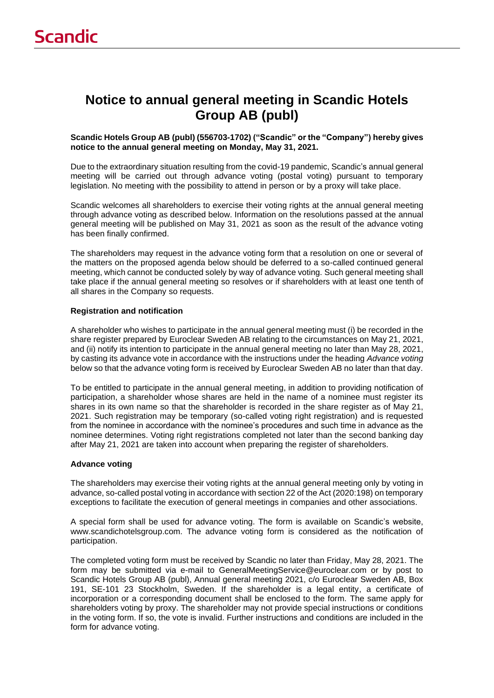# **Notice to annual general meeting in Scandic Hotels Group AB (publ)**

**Scandic Hotels Group AB (publ) (556703-1702) ("Scandic" or the "Company") hereby gives notice to the annual general meeting on Monday, May 31, 2021.**

Due to the extraordinary situation resulting from the covid-19 pandemic, Scandic's annual general meeting will be carried out through advance voting (postal voting) pursuant to temporary legislation. No meeting with the possibility to attend in person or by a proxy will take place.

Scandic welcomes all shareholders to exercise their voting rights at the annual general meeting through advance voting as described below. Information on the resolutions passed at the annual general meeting will be published on May 31, 2021 as soon as the result of the advance voting has been finally confirmed.

The shareholders may request in the advance voting form that a resolution on one or several of the matters on the proposed agenda below should be deferred to a so-called continued general meeting, which cannot be conducted solely by way of advance voting. Such general meeting shall take place if the annual general meeting so resolves or if shareholders with at least one tenth of all shares in the Company so requests.

## **Registration and notification**

A shareholder who wishes to participate in the annual general meeting must (i) be recorded in the share register prepared by Euroclear Sweden AB relating to the circumstances on May 21, 2021, and (ii) notify its intention to participate in the annual general meeting no later than May 28, 2021, by casting its advance vote in accordance with the instructions under the heading *Advance voting* below so that the advance voting form is received by Euroclear Sweden AB no later than that day.

To be entitled to participate in the annual general meeting, in addition to providing notification of participation, a shareholder whose shares are held in the name of a nominee must register its shares in its own name so that the shareholder is recorded in the share register as of May 21, 2021. Such registration may be temporary (so-called voting right registration) and is requested from the nominee in accordance with the nominee's procedures and such time in advance as the nominee determines. Voting right registrations completed not later than the second banking day after May 21, 2021 are taken into account when preparing the register of shareholders.

#### **Advance voting**

The shareholders may exercise their voting rights at the annual general meeting only by voting in advance, so-called postal voting in accordance with section 22 of the Act (2020:198) on temporary exceptions to facilitate the execution of general meetings in companies and other associations.

A special form shall be used for advance voting. The form is available on Scandic's website, www.scandichotelsgroup.com. The advance voting form is considered as the notification of participation.

The completed voting form must be received by Scandic no later than Friday, May 28, 2021. The form may be submitted via e-mail to GeneralMeetingService@euroclear.com or by post to Scandic Hotels Group AB (publ), Annual general meeting 2021, c/o Euroclear Sweden AB, Box 191, SE-101 23 Stockholm, Sweden. If the shareholder is a legal entity, a certificate of incorporation or a corresponding document shall be enclosed to the form. The same apply for shareholders voting by proxy. The shareholder may not provide special instructions or conditions in the voting form. If so, the vote is invalid. Further instructions and conditions are included in the form for advance voting.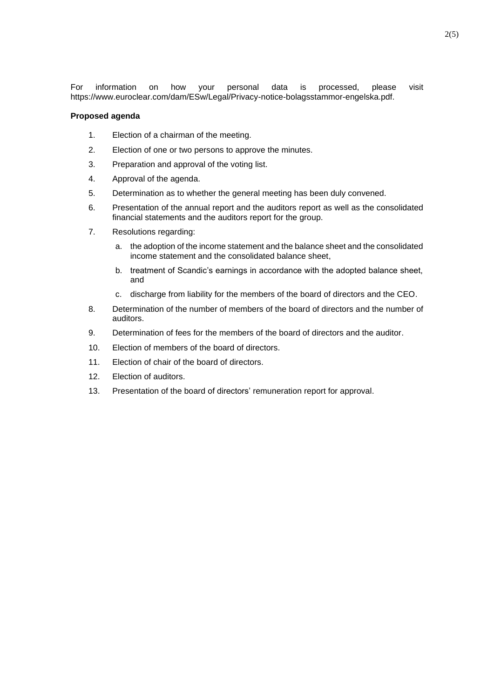For information on how your personal data is processed, please visit https://www.euroclear.com/dam/ESw/Legal/Privacy-notice-bolagsstammor-engelska.pdf.

#### **Proposed agenda**

- 1. Election of a chairman of the meeting.
- 2. Election of one or two persons to approve the minutes.
- 3. Preparation and approval of the voting list.
- 4. Approval of the agenda.
- 5. Determination as to whether the general meeting has been duly convened.
- 6. Presentation of the annual report and the auditors report as well as the consolidated financial statements and the auditors report for the group.
- 7. Resolutions regarding:
	- a. the adoption of the income statement and the balance sheet and the consolidated income statement and the consolidated balance sheet,
	- b. treatment of Scandic's earnings in accordance with the adopted balance sheet, and
	- c. discharge from liability for the members of the board of directors and the CEO.
- 8. Determination of the number of members of the board of directors and the number of auditors.
- 9. Determination of fees for the members of the board of directors and the auditor.
- 10. Election of members of the board of directors.
- 11. Election of chair of the board of directors.
- 12. Election of auditors.
- 13. Presentation of the board of directors' remuneration report for approval.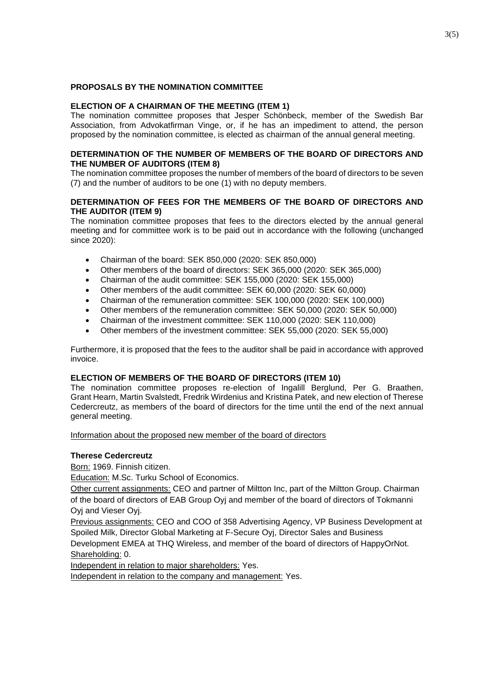# **PROPOSALS BY THE NOMINATION COMMITTEE**

# **ELECTION OF A CHAIRMAN OF THE MEETING (ITEM 1)**

The nomination committee proposes that Jesper Schönbeck, member of the Swedish Bar Association, from Advokatfirman Vinge, or, if he has an impediment to attend, the person proposed by the nomination committee, is elected as chairman of the annual general meeting.

# **DETERMINATION OF THE NUMBER OF MEMBERS OF THE BOARD OF DIRECTORS AND THE NUMBER OF AUDITORS (ITEM 8)**

The nomination committee proposes the number of members of the board of directors to be seven (7) and the number of auditors to be one (1) with no deputy members.

# **DETERMINATION OF FEES FOR THE MEMBERS OF THE BOARD OF DIRECTORS AND THE AUDITOR (ITEM 9)**

The nomination committee proposes that fees to the directors elected by the annual general meeting and for committee work is to be paid out in accordance with the following (unchanged since 2020):

- Chairman of the board: SEK 850,000 (2020: SEK 850,000)
- Other members of the board of directors: SEK 365,000 (2020: SEK 365,000)
- Chairman of the audit committee: SEK 155,000 (2020: SEK 155,000)
- Other members of the audit committee: SEK 60,000 (2020: SEK 60,000)
- Chairman of the remuneration committee: SEK 100,000 (2020: SEK 100,000)
- Other members of the remuneration committee: SEK 50,000 (2020: SEK 50,000)
- Chairman of the investment committee: SEK 110,000 (2020: SEK 110,000)
- Other members of the investment committee: SEK 55,000 (2020: SEK 55,000)

Furthermore, it is proposed that the fees to the auditor shall be paid in accordance with approved invoice.

# **ELECTION OF MEMBERS OF THE BOARD OF DIRECTORS (ITEM 10)**

The nomination committee proposes re-election of Ingalill Berglund, Per G. Braathen, Grant Hearn, Martin Svalstedt, Fredrik Wirdenius and Kristina Patek, and new election of Therese Cedercreutz, as members of the board of directors for the time until the end of the next annual general meeting.

Information about the proposed new member of the board of directors

# **Therese Cedercreutz**

Born: 1969. Finnish citizen.

Education: M.Sc. Turku School of Economics.

Other current assignments: CEO and partner of Miltton Inc, part of the Miltton Group. Chairman of the board of directors of EAB Group Oyj and member of the board of directors of Tokmanni Oyj and Vieser Oyj.

Previous assignments: CEO and COO of 358 Advertising Agency, VP Business Development at Spoiled Milk, Director Global Marketing at F-Secure Oyj, Director Sales and Business Development EMEA at THQ Wireless, and member of the board of directors of HappyOrNot.

Shareholding: 0.

Independent in relation to major shareholders: Yes.

Independent in relation to the company and management: Yes.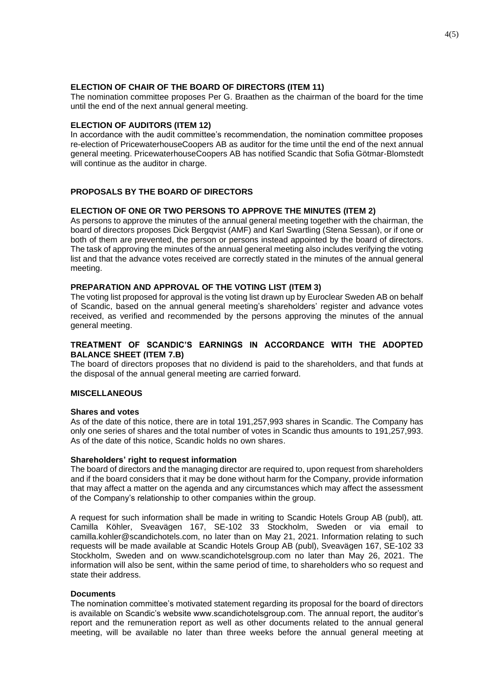#### **ELECTION OF CHAIR OF THE BOARD OF DIRECTORS (ITEM 11)**

The nomination committee proposes Per G. Braathen as the chairman of the board for the time until the end of the next annual general meeting.

## **ELECTION OF AUDITORS (ITEM 12)**

In accordance with the audit committee's recommendation, the nomination committee proposes re-election of PricewaterhouseCoopers AB as auditor for the time until the end of the next annual general meeting. PricewaterhouseCoopers AB has notified Scandic that Sofia Götmar-Blomstedt will continue as the auditor in charge.

# **PROPOSALS BY THE BOARD OF DIRECTORS**

## **ELECTION OF ONE OR TWO PERSONS TO APPROVE THE MINUTES (ITEM 2)**

As persons to approve the minutes of the annual general meeting together with the chairman, the board of directors proposes Dick Bergqvist (AMF) and Karl Swartling (Stena Sessan), or if one or both of them are prevented, the person or persons instead appointed by the board of directors. The task of approving the minutes of the annual general meeting also includes verifying the voting list and that the advance votes received are correctly stated in the minutes of the annual general meeting.

# **PREPARATION AND APPROVAL OF THE VOTING LIST (ITEM 3)**

The voting list proposed for approval is the voting list drawn up by Euroclear Sweden AB on behalf of Scandic, based on the annual general meeting's shareholders' register and advance votes received, as verified and recommended by the persons approving the minutes of the annual general meeting.

# **TREATMENT OF SCANDIC'S EARNINGS IN ACCORDANCE WITH THE ADOPTED BALANCE SHEET (ITEM 7.B)**

The board of directors proposes that no dividend is paid to the shareholders, and that funds at the disposal of the annual general meeting are carried forward.

# **MISCELLANEOUS**

#### **Shares and votes**

As of the date of this notice, there are in total 191,257,993 shares in Scandic. The Company has only one series of shares and the total number of votes in Scandic thus amounts to 191,257,993. As of the date of this notice, Scandic holds no own shares.

#### **Shareholders' right to request information**

The board of directors and the managing director are required to, upon request from shareholders and if the board considers that it may be done without harm for the Company, provide information that may affect a matter on the agenda and any circumstances which may affect the assessment of the Company's relationship to other companies within the group.

A request for such information shall be made in writing to Scandic Hotels Group AB (publ), att. Camilla Köhler, Sveavägen 167, SE-102 33 Stockholm, Sweden or via email to camilla.kohler@scandichotels.com, no later than on May 21, 2021. Information relating to such requests will be made available at Scandic Hotels Group AB (publ), Sveavägen 167, SE-102 33 Stockholm, Sweden and on www.scandichotelsgroup.com no later than May 26, 2021. The information will also be sent, within the same period of time, to shareholders who so request and state their address.

#### **Documents**

The nomination committee's motivated statement regarding its proposal for the board of directors is available on Scandic's website www.scandichotelsgroup.com. The annual report, the auditor's report and the remuneration report as well as other documents related to the annual general meeting, will be available no later than three weeks before the annual general meeting at